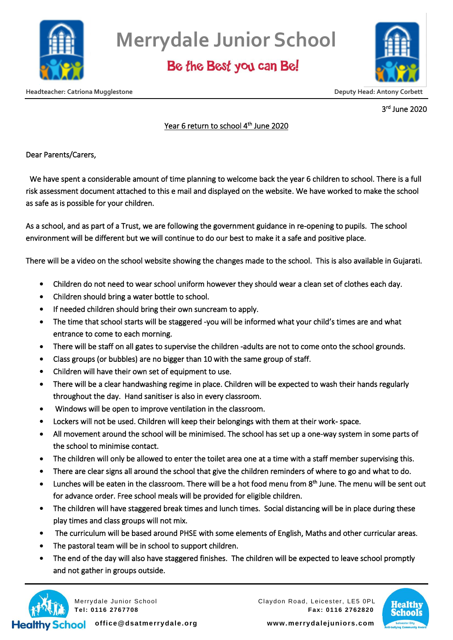

# **Merrydale Junior School**

Be the Best you can Be!



3 rd June 2020

#### <u>Year 6 return to school 4<sup>th</sup> June 2020</u>

Dear Parents/Carers,

 We have spent a considerable amount of time planning to welcome back the year 6 children to school. There is a full risk assessment document attached to this e mail and displayed on the website. We have worked to make the school as safe as is possible for your children.

As a school, and as part of a Trust, we are following the government guidance in re-opening to pupils. The school environment will be different but we will continue to do our best to make it a safe and positive place.

There will be a video on the school website showing the changes made to the school. This is also available in Gujarati.

- Children do not need to wear school uniform however they should wear a clean set of clothes each day.
- Children should bring a water bottle to school.
- If needed children should bring their own suncream to apply.
- The time that school starts will be staggered -you will be informed what your child's times are and what entrance to come to each morning.
- There will be staff on all gates to supervise the children -adults are not to come onto the school grounds.
- Class groups (or bubbles) are no bigger than 10 with the same group of staff.
- Children will have their own set of equipment to use.
- There will be a clear handwashing regime in place. Children will be expected to wash their hands regularly throughout the day. Hand sanitiser is also in every classroom.
- Windows will be open to improve ventilation in the classroom.
- Lockers will not be used. Children will keep their belongings with them at their work- space.
- All movement around the school will be minimised. The school has set up a one-way system in some parts of the school to minimise contact.
- The children will only be allowed to enter the toilet area one at a time with a staff member supervising this.
- There are clear signs all around the school that give the children reminders of where to go and what to do.
- Lunches will be eaten in the classroom. There will be a hot food menu from 8<sup>th</sup> June. The menu will be sent out for advance order. Free school meals will be provided for eligible children.
- The children will have staggered break times and lunch times. Social distancing will be in place during these play times and class groups will not mix.
- The curriculum will be based around PHSE with some elements of English, Maths and other curricular areas.
- The pastoral team will be in school to support children.
- The end of the day will also have staggered finishes. The children will be expected to leave school promptly and not gather in groups outside.



Merrydale Junior School Claydon Road, Leicester, LE5 0PL **Tel: 0116 2767708 Fax: 0116 2762820**



**office@dsatmerrydale.org www.merrydalejuniors.com**